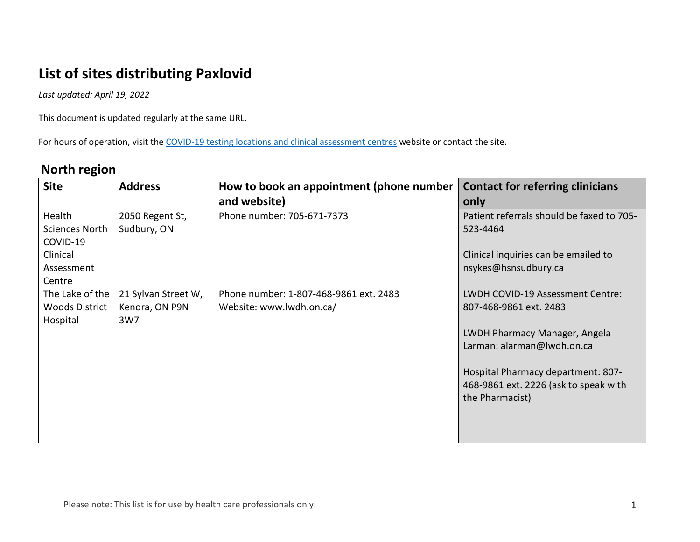# **List of sites distributing Paxlovid**

*Last updated: April 19, 2022*

This document is updated regularly at the same URL.

For hours of operation, visit th[e COVID-19 testing locations and clinical assessment centres](https://covid-19.ontario.ca/assessment-centre-locations) website or contact the site.

#### **North region**

| <b>Site</b>                              | <b>Address</b>                        | How to book an appointment (phone number                           | <b>Contact for referring clinicians</b>                    |
|------------------------------------------|---------------------------------------|--------------------------------------------------------------------|------------------------------------------------------------|
|                                          |                                       | and website)                                                       | only                                                       |
| Health                                   | 2050 Regent St,                       | Phone number: 705-671-7373                                         | Patient referrals should be faxed to 705-                  |
| <b>Sciences North</b>                    | Sudbury, ON                           |                                                                    | 523-4464                                                   |
| COVID-19                                 |                                       |                                                                    |                                                            |
| Clinical                                 |                                       |                                                                    | Clinical inquiries can be emailed to                       |
| Assessment                               |                                       |                                                                    | nsykes@hsnsudbury.ca                                       |
| Centre                                   |                                       |                                                                    |                                                            |
| The Lake of the<br><b>Woods District</b> | 21 Sylvan Street W,<br>Kenora, ON P9N | Phone number: 1-807-468-9861 ext. 2483<br>Website: www.lwdh.on.ca/ | LWDH COVID-19 Assessment Centre:<br>807-468-9861 ext. 2483 |
| Hospital                                 | 3W7                                   |                                                                    |                                                            |
|                                          |                                       |                                                                    | LWDH Pharmacy Manager, Angela                              |
|                                          |                                       |                                                                    | Larman: alarman@lwdh.on.ca                                 |
|                                          |                                       |                                                                    |                                                            |
|                                          |                                       |                                                                    | Hospital Pharmacy department: 807-                         |
|                                          |                                       |                                                                    | 468-9861 ext. 2226 (ask to speak with                      |
|                                          |                                       |                                                                    | the Pharmacist)                                            |
|                                          |                                       |                                                                    |                                                            |
|                                          |                                       |                                                                    |                                                            |
|                                          |                                       |                                                                    |                                                            |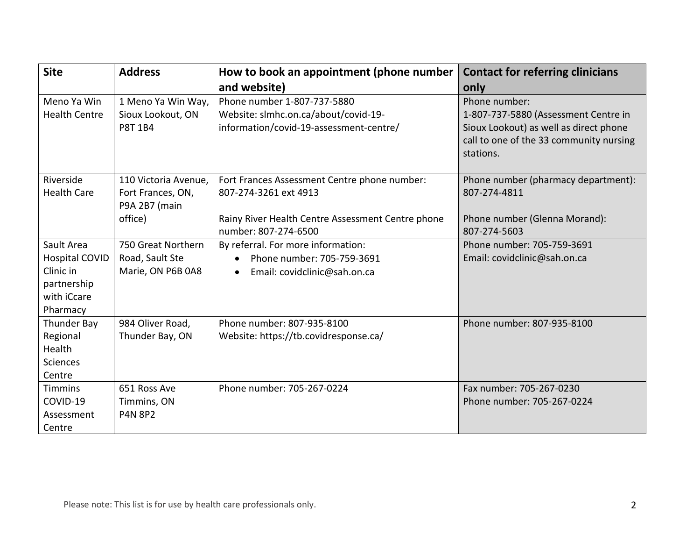| <b>Site</b>           | <b>Address</b>                     | How to book an appointment (phone number          | <b>Contact for referring clinicians</b> |
|-----------------------|------------------------------------|---------------------------------------------------|-----------------------------------------|
|                       |                                    | and website)                                      | only                                    |
| Meno Ya Win           | 1 Meno Ya Win Way,                 | Phone number 1-807-737-5880                       | Phone number:                           |
| <b>Health Centre</b>  | Sioux Lookout, ON                  | Website: slmhc.on.ca/about/covid-19-              | 1-807-737-5880 (Assessment Centre in    |
|                       | P8T 1B4                            | information/covid-19-assessment-centre/           | Sioux Lookout) as well as direct phone  |
|                       |                                    |                                                   | call to one of the 33 community nursing |
|                       |                                    |                                                   | stations.                               |
|                       |                                    |                                                   |                                         |
| Riverside             | 110 Victoria Avenue,               | Fort Frances Assessment Centre phone number:      | Phone number (pharmacy department):     |
| <b>Health Care</b>    | Fort Frances, ON,<br>P9A 2B7 (main | 807-274-3261 ext 4913                             | 807-274-4811                            |
|                       | office)                            | Rainy River Health Centre Assessment Centre phone | Phone number (Glenna Morand):           |
|                       |                                    | number: 807-274-6500                              | 807-274-5603                            |
| Sault Area            | 750 Great Northern                 | By referral. For more information:                | Phone number: 705-759-3691              |
| <b>Hospital COVID</b> | Road, Sault Ste                    | Phone number: 705-759-3691<br>$\bullet$           | Email: covidclinic@sah.on.ca            |
| Clinic in             | Marie, ON P6B 0A8                  | Email: covidclinic@sah.on.ca<br>$\bullet$         |                                         |
| partnership           |                                    |                                                   |                                         |
| with iCcare           |                                    |                                                   |                                         |
| Pharmacy              |                                    |                                                   |                                         |
| Thunder Bay           | 984 Oliver Road,                   | Phone number: 807-935-8100                        | Phone number: 807-935-8100              |
| Regional              | Thunder Bay, ON                    | Website: https://tb.covidresponse.ca/             |                                         |
| Health                |                                    |                                                   |                                         |
| <b>Sciences</b>       |                                    |                                                   |                                         |
| Centre                |                                    |                                                   |                                         |
| <b>Timmins</b>        | 651 Ross Ave                       | Phone number: 705-267-0224                        | Fax number: 705-267-0230                |
| COVID-19              | Timmins, ON                        |                                                   | Phone number: 705-267-0224              |
| Assessment            | <b>P4N 8P2</b>                     |                                                   |                                         |
| Centre                |                                    |                                                   |                                         |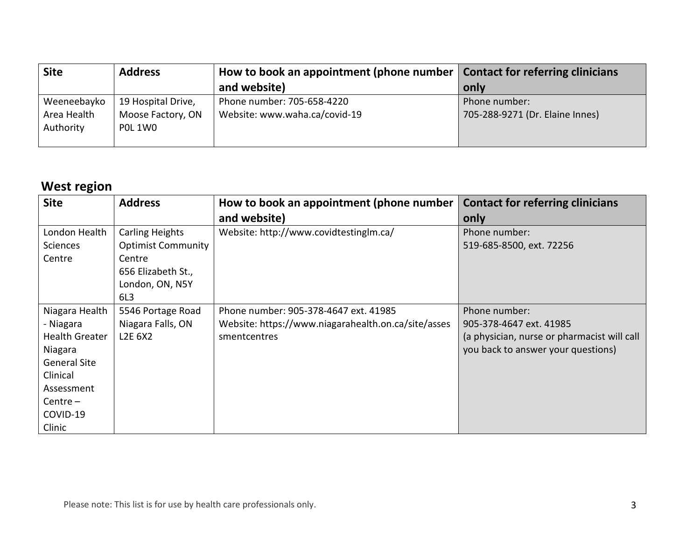| <b>Site</b>                             | <b>Address</b>                                     | How to book an appointment (phone number $\ $               | <b>Contact for referring clinicians</b>          |
|-----------------------------------------|----------------------------------------------------|-------------------------------------------------------------|--------------------------------------------------|
|                                         |                                                    | and website)                                                | only                                             |
| Weeneebayko<br>Area Health<br>Authority | 19 Hospital Drive,<br>Moose Factory, ON<br>POL 1WO | Phone number: 705-658-4220<br>Website: www.waha.ca/covid-19 | Phone number:<br>705-288-9271 (Dr. Elaine Innes) |
|                                         |                                                    |                                                             |                                                  |

#### **West region**

| <b>Site</b>           | <b>Address</b>                   | How to book an appointment (phone number            | <b>Contact for referring clinicians</b>     |
|-----------------------|----------------------------------|-----------------------------------------------------|---------------------------------------------|
|                       |                                  | and website)                                        | only                                        |
| London Health         | <b>Carling Heights</b>           | Website: http://www.covidtestinglm.ca/              | Phone number:                               |
| Sciences              | <b>Optimist Community</b>        |                                                     | 519-685-8500, ext. 72256                    |
| Centre                | Centre                           |                                                     |                                             |
|                       | 656 Elizabeth St.,               |                                                     |                                             |
|                       | London, ON, N5Y                  |                                                     |                                             |
|                       | 6L3                              |                                                     |                                             |
| Niagara Health        | 5546 Portage Road                | Phone number: 905-378-4647 ext. 41985               | Phone number:                               |
| - Niagara             | Niagara Falls, ON                | Website: https://www.niagarahealth.on.ca/site/asses | 905-378-4647 ext. 41985                     |
| <b>Health Greater</b> | L <sub>2</sub> E 6X <sub>2</sub> | smentcentres                                        | (a physician, nurse or pharmacist will call |
| Niagara               |                                  |                                                     | you back to answer your questions)          |
| <b>General Site</b>   |                                  |                                                     |                                             |
| Clinical              |                                  |                                                     |                                             |
| Assessment            |                                  |                                                     |                                             |
| $Centre -$            |                                  |                                                     |                                             |
| COVID-19              |                                  |                                                     |                                             |
| Clinic                |                                  |                                                     |                                             |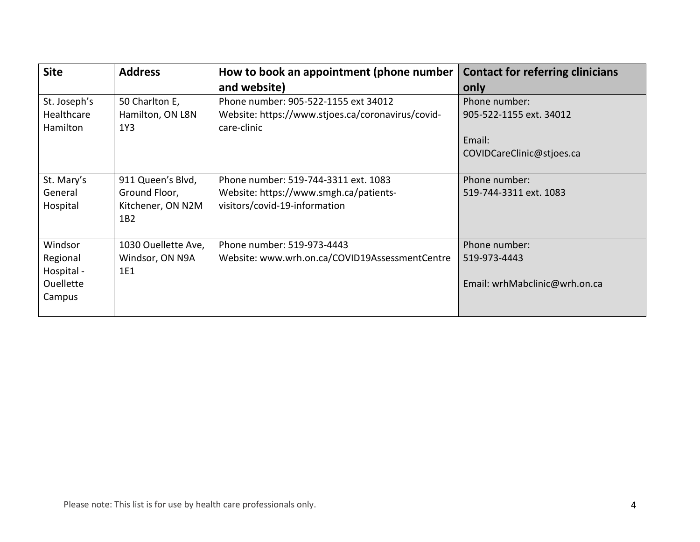| <b>Site</b>            | <b>Address</b>          | How to book an appointment (phone number                         | <b>Contact for referring clinicians</b> |
|------------------------|-------------------------|------------------------------------------------------------------|-----------------------------------------|
|                        |                         | and website)                                                     | only                                    |
| St. Joseph's           | 50 Charlton E,          | Phone number: 905-522-1155 ext 34012                             | Phone number:                           |
| Healthcare<br>Hamilton | Hamilton, ON L8N<br>1Y3 | Website: https://www.stjoes.ca/coronavirus/covid-<br>care-clinic | 905-522-1155 ext. 34012                 |
|                        |                         |                                                                  | Email:                                  |
|                        |                         |                                                                  | COVIDCareClinic@stjoes.ca               |
|                        |                         |                                                                  |                                         |
| St. Mary's             | 911 Queen's Blvd,       | Phone number: 519-744-3311 ext. 1083                             | Phone number:                           |
| General                | Ground Floor,           | Website: https://www.smgh.ca/patients-                           | 519-744-3311 ext. 1083                  |
| Hospital               | Kitchener, ON N2M       | visitors/covid-19-information                                    |                                         |
|                        | 1B2                     |                                                                  |                                         |
|                        |                         |                                                                  |                                         |
| Windsor                | 1030 Ouellette Ave,     | Phone number: 519-973-4443                                       | Phone number:                           |
| Regional               | Windsor, ON N9A         | Website: www.wrh.on.ca/COVID19AssessmentCentre                   | 519-973-4443                            |
| Hospital -             | 1E1                     |                                                                  |                                         |
| Ouellette              |                         |                                                                  | Email: wrhMabclinic@wrh.on.ca           |
| Campus                 |                         |                                                                  |                                         |
|                        |                         |                                                                  |                                         |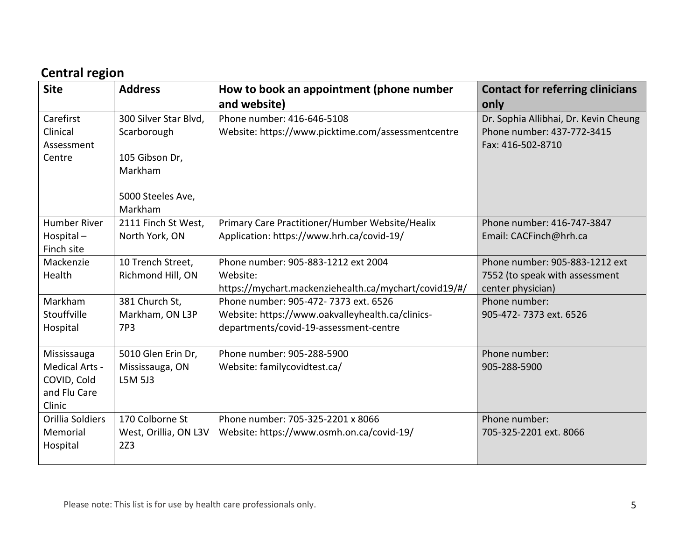## **Central region**

| <b>Site</b>         | <b>Address</b>               | How to book an appointment (phone number              | <b>Contact for referring clinicians</b> |
|---------------------|------------------------------|-------------------------------------------------------|-----------------------------------------|
|                     |                              | and website)                                          | only                                    |
| Carefirst           | 300 Silver Star Blvd,        | Phone number: 416-646-5108                            | Dr. Sophia Allibhai, Dr. Kevin Cheung   |
| Clinical            | Scarborough                  | Website: https://www.picktime.com/assessmentcentre    | Phone number: 437-772-3415              |
| Assessment          |                              |                                                       | Fax: 416-502-8710                       |
| Centre              | 105 Gibson Dr,               |                                                       |                                         |
|                     | Markham                      |                                                       |                                         |
|                     |                              |                                                       |                                         |
|                     | 5000 Steeles Ave,<br>Markham |                                                       |                                         |
| <b>Humber River</b> | 2111 Finch St West,          | Primary Care Practitioner/Humber Website/Healix       | Phone number: 416-747-3847              |
| Hospital-           | North York, ON               | Application: https://www.hrh.ca/covid-19/             | Email: CACFinch@hrh.ca                  |
| Finch site          |                              |                                                       |                                         |
| Mackenzie           | 10 Trench Street,            | Phone number: 905-883-1212 ext 2004                   | Phone number: 905-883-1212 ext          |
| Health              | Richmond Hill, ON            | Website:                                              | 7552 (to speak with assessment          |
|                     |                              | https://mychart.mackenziehealth.ca/mychart/covid19/#/ | center physician)                       |
| Markham             | 381 Church St,               | Phone number: 905-472- 7373 ext. 6526                 | Phone number:                           |
| Stouffville         | Markham, ON L3P              | Website: https://www.oakvalleyhealth.ca/clinics-      | 905-472-7373 ext. 6526                  |
| Hospital            | 7P3                          | departments/covid-19-assessment-centre                |                                         |
|                     |                              |                                                       |                                         |
| Mississauga         | 5010 Glen Erin Dr,           | Phone number: 905-288-5900                            | Phone number:                           |
| Medical Arts -      | Mississauga, ON              | Website: familycovidtest.ca/                          | 905-288-5900                            |
| COVID, Cold         | L5M 5J3                      |                                                       |                                         |
| and Flu Care        |                              |                                                       |                                         |
| Clinic              |                              |                                                       |                                         |
| Orillia Soldiers    | 170 Colborne St              | Phone number: 705-325-2201 x 8066                     | Phone number:                           |
| Memorial            | West, Orillia, ON L3V        | Website: https://www.osmh.on.ca/covid-19/             | 705-325-2201 ext. 8066                  |
| Hospital            | 2Z3                          |                                                       |                                         |
|                     |                              |                                                       |                                         |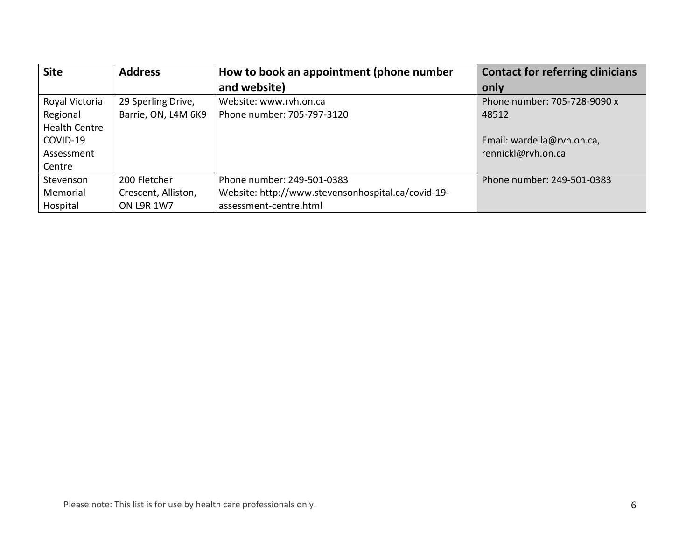| <b>Site</b>          | <b>Address</b>      | How to book an appointment (phone number           | <b>Contact for referring clinicians</b> |
|----------------------|---------------------|----------------------------------------------------|-----------------------------------------|
|                      |                     | and website)                                       | only                                    |
| Royal Victoria       | 29 Sperling Drive,  | Website: www.rvh.on.ca                             | Phone number: 705-728-9090 x            |
| Regional             | Barrie, ON, L4M 6K9 | Phone number: 705-797-3120                         | 48512                                   |
| <b>Health Centre</b> |                     |                                                    |                                         |
| COVID-19             |                     |                                                    | Email: wardella@rvh.on.ca,              |
| Assessment           |                     |                                                    | rennickl@rvh.on.ca                      |
| Centre               |                     |                                                    |                                         |
| Stevenson            | 200 Fletcher        | Phone number: 249-501-0383                         | Phone number: 249-501-0383              |
| Memorial             | Crescent, Alliston, | Website: http://www.stevensonhospital.ca/covid-19- |                                         |
| Hospital             | <b>ON L9R 1W7</b>   | assessment-centre.html                             |                                         |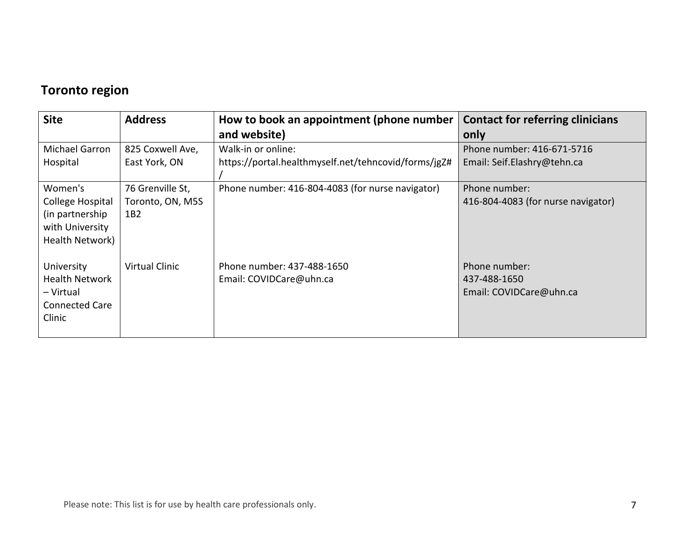## **Toronto region**

| <b>Site</b>                                                                         | <b>Address</b>          | How to book an appointment (phone number              | <b>Contact for referring clinicians</b>                  |
|-------------------------------------------------------------------------------------|-------------------------|-------------------------------------------------------|----------------------------------------------------------|
|                                                                                     |                         | and website)                                          | only                                                     |
| Michael Garron                                                                      | 825 Coxwell Ave,        | Walk-in or online:                                    | Phone number: 416-671-5716                               |
| Hospital                                                                            | East York, ON           | https://portal.healthmyself.net/tehncovid/forms/jgZ#  | Email: Seif.Elashry@tehn.ca                              |
| Women's                                                                             | 76 Grenville St,        | Phone number: 416-804-4083 (for nurse navigator)      | Phone number:                                            |
| College Hospital<br>(in partnership)<br>with University<br>Health Network)          | Toronto, ON, M5S<br>1B2 |                                                       | 416-804-4083 (for nurse navigator)                       |
| University<br><b>Health Network</b><br>- Virtual<br><b>Connected Care</b><br>Clinic | <b>Virtual Clinic</b>   | Phone number: 437-488-1650<br>Email: COVIDCare@uhn.ca | Phone number:<br>437-488-1650<br>Email: COVIDCare@uhn.ca |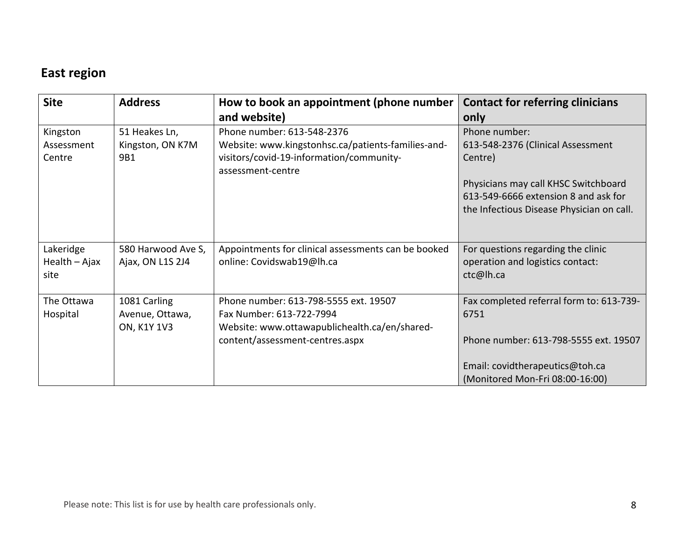### **East region**

| <b>Site</b>   | <b>Address</b>     | How to book an appointment (phone number                      | <b>Contact for referring clinicians</b>   |
|---------------|--------------------|---------------------------------------------------------------|-------------------------------------------|
|               |                    | and website)                                                  | only                                      |
| Kingston      | 51 Heakes Ln,      | Phone number: 613-548-2376                                    | Phone number:                             |
| Assessment    | Kingston, ON K7M   | Website: www.kingstonhsc.ca/patients-families-and-            | 613-548-2376 (Clinical Assessment         |
| Centre        | 9B1                | visitors/covid-19-information/community-<br>assessment-centre | Centre)                                   |
|               |                    |                                                               | Physicians may call KHSC Switchboard      |
|               |                    |                                                               | 613-549-6666 extension 8 and ask for      |
|               |                    |                                                               | the Infectious Disease Physician on call. |
|               |                    |                                                               |                                           |
| Lakeridge     | 580 Harwood Ave S, | Appointments for clinical assessments can be booked           | For questions regarding the clinic        |
| Health - Ajax | Ajax, ON L1S 2J4   | online: Covidswab19@lh.ca                                     | operation and logistics contact:          |
| site          |                    |                                                               | ctc@lh.ca                                 |
| The Ottawa    | 1081 Carling       | Phone number: 613-798-5555 ext. 19507                         | Fax completed referral form to: 613-739-  |
| Hospital      | Avenue, Ottawa,    | Fax Number: 613-722-7994                                      | 6751                                      |
|               | <b>ON, K1Y 1V3</b> | Website: www.ottawapublichealth.ca/en/shared-                 |                                           |
|               |                    | content/assessment-centres.aspx                               | Phone number: 613-798-5555 ext. 19507     |
|               |                    |                                                               |                                           |
|               |                    |                                                               | Email: covidtherapeutics@toh.ca           |
|               |                    |                                                               | (Monitored Mon-Fri 08:00-16:00)           |